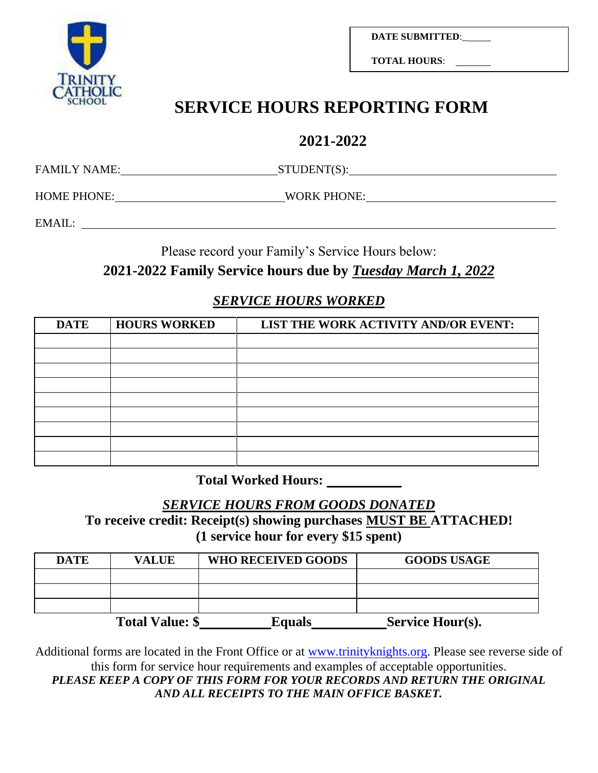

**DATE SUBMITTED**:\_

**TOTAL HOURS**:

# **SERVICE HOURS REPORTING FORM**

# **2021-2022**

FAMILY NAME: STUDENT(S):

HOME PHONE: WORK PHONE: WORK PHONE:

EMAIL:

Please record your Family's Service Hours below:

## **2021-2022 Family Service hours due by** *Tuesday March 1, 2022*

#### *SERVICE HOURS WORKED*

| <b>DATE</b> | <b>HOURS WORKED</b> | LIST THE WORK ACTIVITY AND/OR EVENT: |
|-------------|---------------------|--------------------------------------|
|             |                     |                                      |
|             |                     |                                      |
|             |                     |                                      |
|             |                     |                                      |
|             |                     |                                      |
|             |                     |                                      |
|             |                     |                                      |
|             |                     |                                      |
|             |                     |                                      |

**Total Worked Hours:** 

*SERVICE HOURS FROM GOODS DONATED*

**To receive credit: Receipt(s) showing purchases MUST BE ATTACHED! (1 service hour for every \$15 spent)**

| <b>DATE</b> | <b>VALUE</b>           | <b>WHO RECEIVED GOODS</b> | <b>GOODS USAGE</b> |
|-------------|------------------------|---------------------------|--------------------|
|             |                        |                           |                    |
|             |                        |                           |                    |
|             |                        |                           |                    |
|             | <b>Total Value: \$</b> | Equals                    | Service Hour(s).   |

Additional forms are located in the Front Office or at [www.trinityknights.org.](http://www.trinityknights.org/) Please see reverse side of this form for service hour requirements and examples of acceptable opportunities.

PLEASE KEEP A COPY OF THIS FORM FOR YOUR RECORDS AND RETURN THE ORIGINAL *AND ALL RECEIPTS TO THE MAIN OFFICE BASKET.*